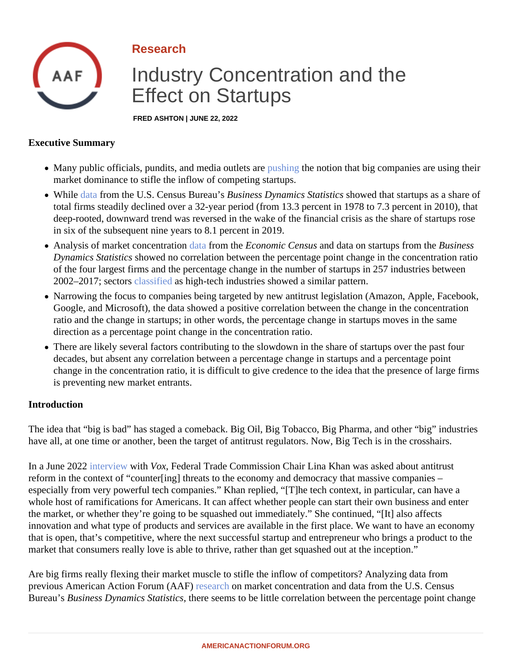## Research

# Industry Concentration and the Effect on Startups

FRED ASHTON | JUNE 22, 2022

#### Executive Summary

- Many public officials, pundits, and media outlets are hing the notion that big companies are using their market dominance to stifle the inflow of competing startups.
- While [data](�� h t t p s : / / w w w . c e n s u s . g o v / d a t a / d a t a s e t s / t i m e - s e r i e s / e c o n / b d s / b d s - d a t a s e t s . h t m l) from the U.S. Census Burea Basiness Dynamics Statistis sowed that startups as a share of total firms steadily declined over a 32-year period (from 13.3 percent in 1978 to 7.3 percent in 2010), that deep-rooted, downward trend was reversed in the wake of the financial crisis as the share of startups ro in six of the subsequent nine years to 8.1 percent in 2019.
- Analysis of market concentration ata from the Economic Census and data on startups from the siness Dynamics Statisticshowed no correlation between the percentage point change in the concentration rati of the four largest firms and the percentage change in the number of startups in 257 industries between 2002–2017; sectors assified as high-tech industries showed a similar pattern.
- Narrowing the focus to companies being targeted by new antitrust legislation (Amazon, Apple, Faceboo Google, and Microsoft), the data showed a positive correlation between the change in the concentration ratio and the change in startups; in other words, the percentage change in startups moves in the same direction as a percentage point change in the concentration ratio.
- There are likely several factors contributing to the slowdown in the share of startups over the past four decades, but absent any correlation between a percentage change in startups and a percentage point change in the concentration ratio, it is difficult to give credence to the idea that the presence of large firm is preventing new market entrants.

### Introduction

The idea that "big is bad" has staged a comeback. Big Oil, Big Tobacco, Big Pharma, and other "big" industrie have all, at one time or another, been the target of antitrust regulators. Now, Big Tech is in the crosshairs.

In a June 2022 hterview with Vox, Federal Trade Commission Chair Lina Khan was asked about antitrust reform in the context of "counter[ing] threats to the economy and democracy that massive companies – especially from very powerful tech companies." Khan replied, "[T]he tech context, in particular, can have a whole host of ramifications for Americans. It can affect whether people can start their own business and enter the market, or whether they're going to be squashed out immediately." She continued, "[It] also affects innovation and what type of products and services are available in the first place. We want to have an econor that is open, that's competitive, where the next successful startup and entrepreneur who brings a product to t market that consumers really love is able to thrive, rather than get squashed out at the inception."

Are big firms really flexing their market muscle to stifle the inflow of competitors? Analyzing data from previous American Action Forum (AAF) search on market concentration and data from the U.S. Census Bureau's Business Dynamics Statistichere seems to be little correlation between the percentage point change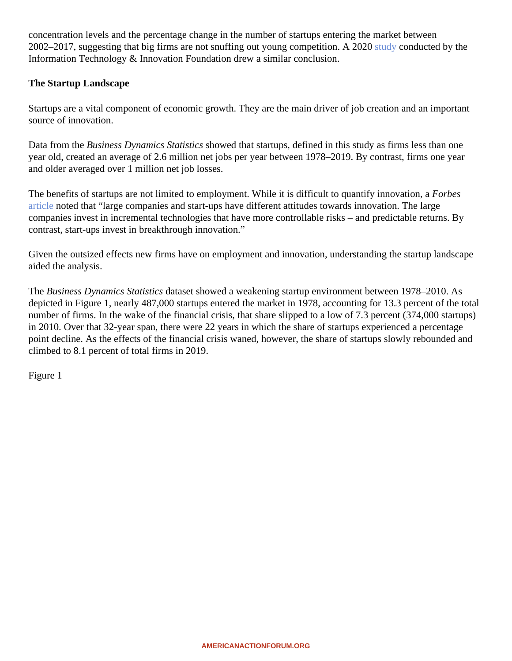concentration levels and the percentage change in the number of startups entering the market between 2002–2017, suggesting that big firms are not snuffing out young competition. [A 202](�� h t t p s : / / i t i f . o r g / p u b l i c a t i o n s / 2 0 2 0 / 0 8 / 0 3 / m o n o p o l y - m y t h s - c o n c e n t r a t i o n - l e a d i n g - f e w e r - s t a r t - u p s /)0 conducted by the Information Technology & Innovation Foundation drew a similar conclusion.

The Startup Landscape

Startups are a vital component of economic growth. They are the main driver of job creation and an important source of innovation.

Data from the Business Dynamics Statistiss sowed that startups, defined in this study as firms less than one year old, created an average of 2.6 million net jobs per year between 1978–2019. By contrast, firms one year and older averaged over 1 million net job losses.

The benefits of startups are not limited to employment. While it is difficult to quantify innovafform best [article](�� h t t p s : / / w w w . f o r b e s . c o m / s i t e s / p e t e r c o h a n / 2 0 1 1 / 0 6 / 2 7 / w h y - s t a r t - u p s - m a t t e r / ? s h = 2 e d 3 8 2 4 f 3 6 2 0) noted that "large companies and start-ups have different attitudes towards innovation. The large companies invest in incremental technologies that have more controllable risks – and predictable returns. By contrast, start-ups invest in breakthrough innovation."

Given the outsized effects new firms have on employment and innovation, understanding the startup landsca aided the analysis.

The Business Dynamics Statistid ataset showed a weakening startup environment between 1978–2010. As depicted in Figure 1, nearly 487,000 startups entered the market in 1978, accounting for 13.3 percent of the to number of firms. In the wake of the financial crisis, that share slipped to a low of 7.3 percent (374,000 startups in 2010. Over that 32-year span, there were 22 years in which the share of startups experienced a percentage point decline. As the effects of the financial crisis waned, however, the share of startups slowly rebounded an climbed to 8.1 percent of total firms in 2019.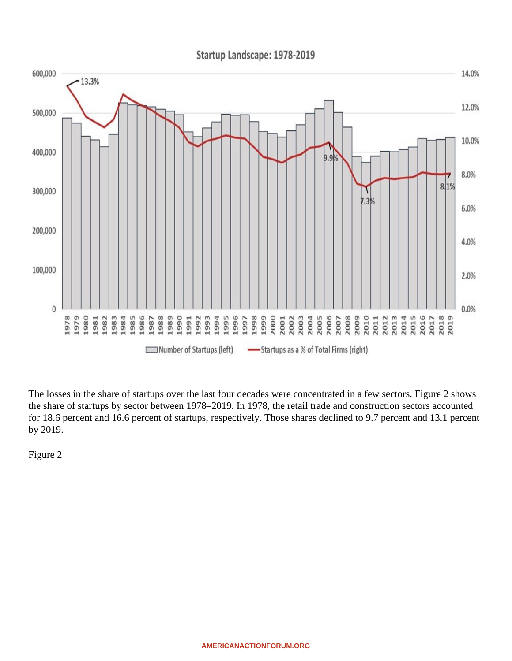The losses in the share of startups over the last four decades were concentrated in a few sectors. Figure 2 sh the share of startups by sector between 1978–2019. In 1978, the retail trade and construction sectors accoun for 18.6 percent and 16.6 percent of startups, respectively. Those shares declined to 9.7 percent and 13.1 pe by 2019.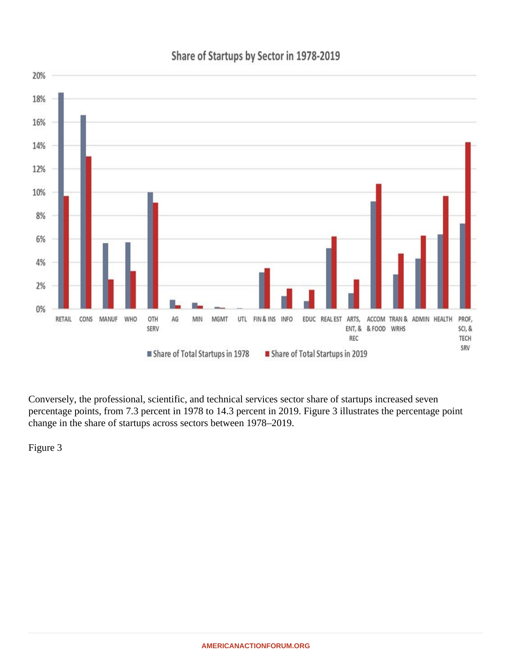Conversely, the professional, scientific, and technical services sector share of startups increased seven percentage points, from 7.3 percent in 1978 to 14.3 percent in 2019. Figure 3 illustrates the percentage point change in the share of startups across sectors between 1978–2019.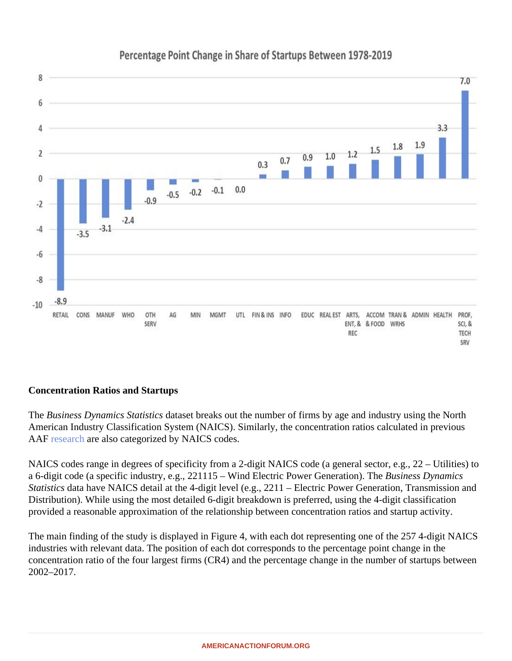Concentration Ratios and Startups

The Business Dynamics Statistic ataset breaks out the number of firms by age and industry using the North American Industry Classification System (NAICS). Similarly, the concentration ratios calculated in previous AAF [researc](�� h t t p s : / / w w w . a m e r i c a n a c t i o n f o r u m . o r g / r e s e a r c h / a r e - m o n o p o l i e s - r e a l l y - a - g r o w i n g - f e a t u r e - o f - t h e - u - s - e c o n o m y /)harealso categorized by NAICS codes.

NAICS codes range in degrees of specificity from a 2-digit NAICS code (a general sector, e.g., 22 – Utilities) t a 6-digit code (a specific industry, e.g., 221115 – Wind Electric Power Generation) usiness Dynamics Statistics data have NAICS detail at the 4-digit level (e.g., 2211 – Electric Power Generation, Transmission an Distribution). While using the most detailed 6-digit breakdown is preferred, using the 4-digit classification provided a reasonable approximation of the relationship between concentration ratios and startup activity.

The main finding of the study is displayed in Figure 4, with each dot representing one of the 257 4-digit NAICS industries with relevant data. The position of each dot corresponds to the percentage point change in the concentration ratio of the four largest firms (CR4) and the percentage change in the number of startups betwe 2002–2017.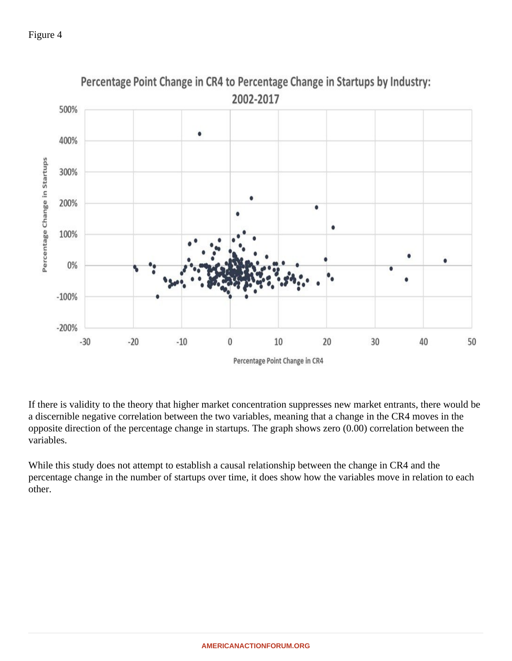Figure 4

If there is validity to the theory that higher market concentration suppresses new market entrants, there would a discernible negative correlation between the two variables, meaning that a change in the CR4 moves in the opposite direction of the percentage change in startups. The graph shows zero (0.00) correlation between the variables.

While this study does not attempt to establish a causal relationship between the change in CR4 and the percentage change in the number of startups over time, it does show how the variables move in relation to each other.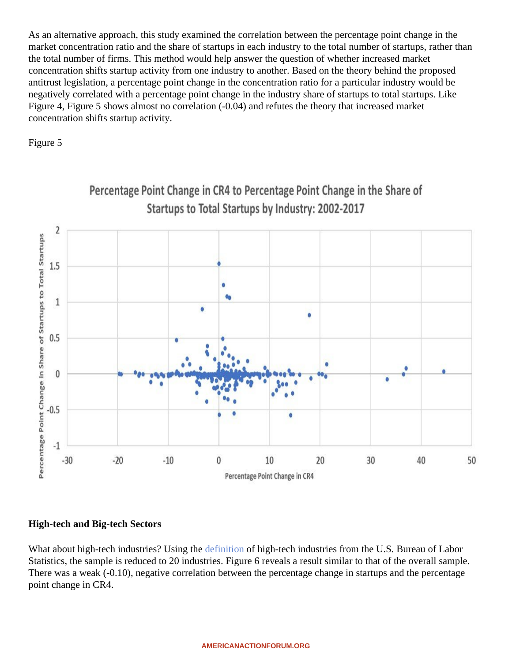As an alternative approach, this study examined the correlation between the percentage point change in the market concentration ratio and the share of startups in each industry to the total number of startups, rather than the total number of firms. This method would help answer the question of whether increased market concentration shifts startup activity from one industry to another. Based on the theory behind the proposed antitrust legislation, a percentage point change in the concentration ratio for a particular industry would be negatively correlated with a percentage point change in the industry share of startups to total startups. Like Figure 4, Figure 5 shows almost no correlation (-0.04) and refutes the theory that increased market concentration shifts startup activity.

Figure 5

High-tech and Big-tech Sectors

What about high-tech industries? Using the inition of high-tech industries from the U.S. Bureau of Labor Statistics, the sample is reduced to 20 industries. Figure 6 reveals a result similar to that of the overall sample There was a weak (-0.10), negative correlation between the percentage change in startups and the percentage point change in CR4.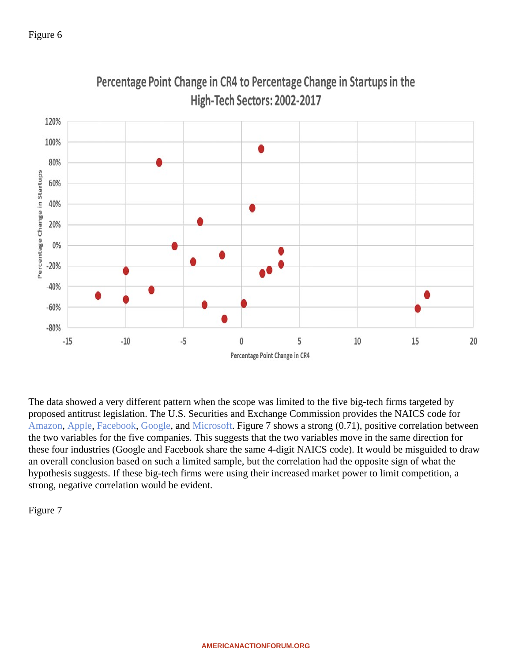Figure 6

The data showed a very different pattern when the scope was limited to the five big-tech firms targeted by proposed antitrust legislation. The U.S. Securities and Exchange Commission provides the NAICS code for [Amazon,](�� h t t p s : / / s e c . r e p o r t / T i c k e r / a m z n) [Apple](�� h t t p s : / / s e c . r e p o r t / T i c k e r / a a p l), FacebookGoogle, an[d Microsoft.](�� h t t p s : / / s e c . r e p o r t / T i c k e r / m s f t) Figure 7 shows a strong (0.71), positive correlation between the two variables for the five companies. This suggests that the two variables move in the same direction for these four industries (Google and Facebook share the same 4-digit NAICS code). It would be misguided to dr an overall conclusion based on such a limited sample, but the correlation had the opposite sign of what the hypothesis suggests. If these big-tech firms were using their increased market power to limit competition, a strong, negative correlation would be evident.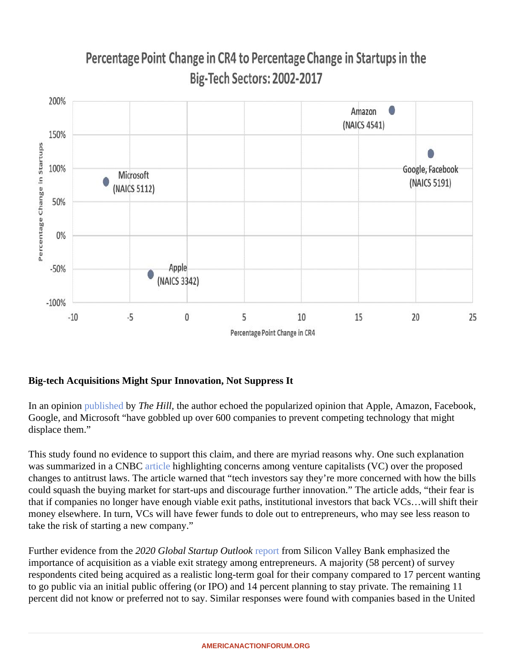Big-tech Acquisitions Might Spur Innovation, Not Suppress It

In an opinio[n published](�� h t t p s : / / t h e h i l l . c o m / b l o g s / c o n g r e s s - b l o g / t e c h n o l o g y / 5 7 8 1 3 3 - b i g - t e c h - p l a t f o r m s - s t i f l e - i n n o v a t i o n - t h r o u g h - a n t i c o m p e t i t i v e /) by The Hill, the author echoed the popularized opinion that Apple, Amazon, Facebook, Google, and Microsoft "have gobbled up over 600 companies to prevent competing technology that might displace them."

This study found no evidence to support this claim, and there are myriad reasons why. One such explanation was summarized in a CNB Cticle highlighting concerns among venture capitalists (VC) over the proposed changes to antitrust laws. The article warned that "tech investors say they're more concerned with how the bil could squash the buying market for start-ups and discourage further innovation." The article adds, "their fear i that if companies no longer have enough viable exit paths, institutional investors that back VCs...will shift their money elsewhere. In turn, VCs will have fewer funds to dole out to entrepreneurs, who may see less reason to take the risk of starting a new company."

Further evidence from the 220 Global Startup Outlook port from Silicon Valley Bank emphasized the importance of acquisition as a viable exit strategy among entrepreneurs. A majority (58 percent) of survey respondents cited being acquired as a realistic long-term goal for their company compared to 17 percent want to go public via an initial public offering (or IPO) and 14 percent planning to stay private. The remaining 11 percent did not know or preferred not to say. Similar responses were found with companies based in the United